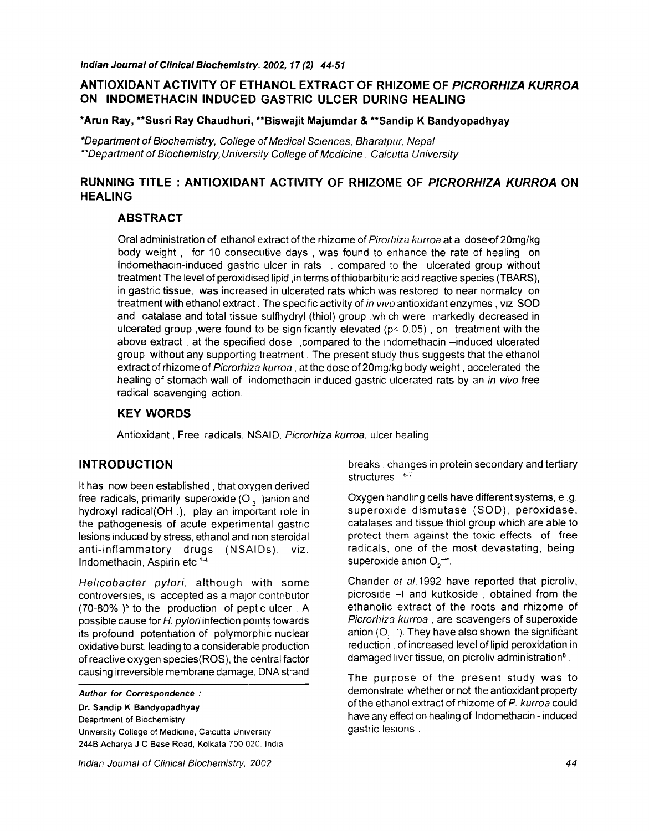## **ANTIOXIDANT ACTIVITY OF ETHANOL EXTRACT OF RHIZOME OF** *PICRORHIZA KURROA*  **ON INDOMETHACIN INDUCED GASTRIC ULCER DURING HEALING**

#### **\*Arun Ray, \*\*Susri Ray Chaudhuri, \*\*Biswajit Majumdar & \*\*Sandip K Bandyopadhyay**

*\*Department of Biochemistry, College of Medical Sciences, Bharatpur. Nepal \*\*Department of Biochemistry, University College of Medicine. Calcutta University* 

# **RUNNING TITLE : ANTIOXIDANT ACTIVITY OF RHIZOME OF** *PICRORHIZA KURROA* **ON HEALING**

#### **ABSTRACT**

Oral administration of ethanol extract of the rhizome of *Pirorhiza kurroa* at a dose of 20mg/kg body weight, for 10 consecutive days , was found to enhance the rate of healing on Indomethacin-induced gastric ulcer in rats . compared to the ulcerated group without treatment.The level of peroxidised lipid ,in terms of thiobarbituric acid reactive species (TBARS), in gastric tissue, was increased in ulcerated rats which was restored to near normalcy on treatment with ethanol extract. The specific activity of *in wvo* antioxidant enzymes, viz SOD and catalase and total tissue sulfhydryl (thiol) group ,which were markedly decreased in ulcerated group , were found to be significantly elevated  $(p < 0.05)$ , on treatment with the above extract, at the specified dose , compared to the indomethacin -induced ulcerated group without any supporting treatment. The present study thus suggests that the ethanol extract of rhizome of *Picrorhiza kurroa,* at the dose of 20mg/kg body weight, accelerated the healing of stomach wall of indomethacin induced gastric ulcerated rats by an *in vivo* free radical scavenging action.

#### **KEY WORDS**

Antioxidant, Free radicals, NSAID, *Picrorhiza kurroa,* ulcer healing

#### **INTRODUCTION**

It has now been established, that oxygen derived free radicals, primarily superoxide  $(O, )$  anion and hydroxyl radical(OH .), play an important role in the pathogenesis of acute experimental gastric lesions induced by stress, ethanol and non steroidal anti-inflammatory drugs (NSAIDs), viz. Indomethacin, Aspirin etc<sup>1-4</sup>

*Helicobacter pylori,* although with some controversies, is accepted as a major contributor  $(70-80\%)$ <sup>5</sup> to the production of peptic ulcer. A possible cause for *H. pylori* infection points towards its profound potentiation of polymorphic nuclear oxidative burst, leading to a considerable production of reactive oxygen species(ROS), the central factor causing irreversible membrane damage, DNA strand

*Author for Correspondence :* 

**Dr. Sandip K Bandyopadhyay**  Deaprtment of Biochemistry University College of *Medicine,* Calcutta Umverslty 244B Acharya J C Bese Road, Kolkata 700 020. India, breaks, changes in protein secondary and tertiary structures  $6-7$ 

Oxygen handling cells have different systems, e .g. superoxide dismutase (SOD), peroxidase, catalases and tissue thiol group which are able to protect them against the toxic effects of free radicals, one of the most devastating, being, superoxide anion  $O_2$ <sup>--</sup>.

Chander *et* a/.1992 have reported that picroliv, picroside  $-1$  and kutkoside, obtained from the ethanolic extract of the roots and rhizome of *Picrorhiza kurroa,* are scavengers of superoxide anion  $(O, \cdot)$ . They have also shown the significant reduction, of increased level of lipid peroxidation in damaged liver tissue, on picroliv administration<sup>8</sup>.

The purpose of the present study was to demonstrate whether or not the antioxidant property of the ethanol extract of rhizome of *P. kurroa* could have any effect on healing of Indomethacin - induced gastric lesions.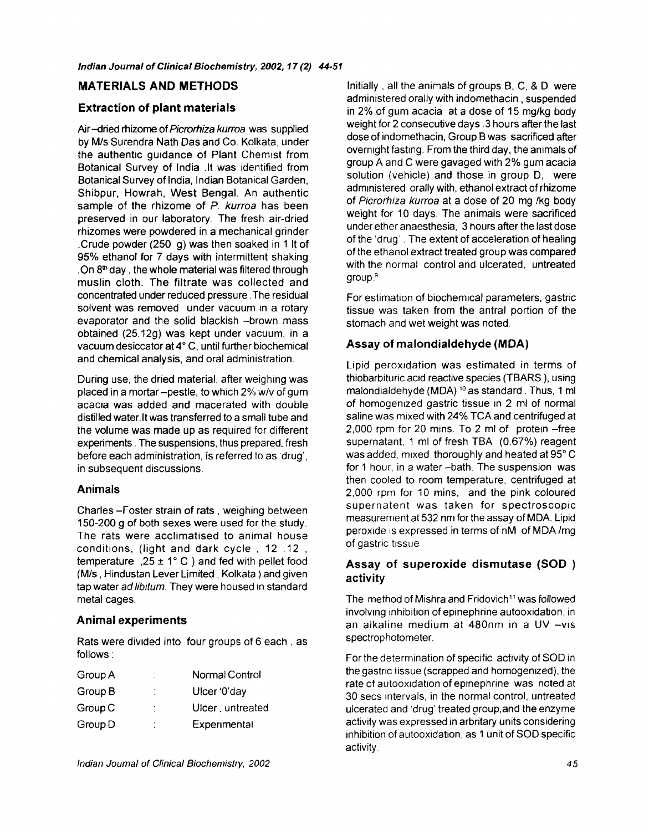#### **MATERIALS AND METHODS**

#### **Extraction of plant materials**

Air-dried rhizome *ofPicrorhiza kurroa* was supplied by M/s Surendra Nath Das and Co. Kolkata, under the authentic guidance of Plant Chemist from Botanical Survey of India .It was identified from Botanical Survey of India, Indian Botanical Garden, Shibpur, Howrah, West Bengal. An authentic sample of the rhizome of *P. kurroa* has been preserved in our laboratory. The fresh air-dried rhizomes were powdered in a mechanical grinder .Crude powder (250 g) was then soaked in 1 It of 95% ethanol for 7 days with intermittent shaking .On  $8<sup>m</sup>$  day, the whole material was filtered through muslin cloth. The filtrate was collected and concentrated under reduced pressure .The residual solvent was removed under vacuum in a rotary evaporator and the solid blackish --brown mass obtained (25.12g) was kept under vacuum, in a vacuum desiccator at 4° C, until further biochemical and chemical analysis, and oral administration.

During use, the dried material, after weighing was placed in a mortar-pestle, to which 2% w/v of gum acacia was added and macerated with double distilled water.It was transferred to a small tube and the volume was made up as required for different experiments. The suspensions, thus prepared, fresh before each administration, is referred to as 'drug', in subsequent discussions.

#### **Animals**

Charles -Foster strain of rats, weighing between 150-200 g of both sexes were used for the study. The rats were acclimatised to animal house conditions, (light and dark cycle , 12:12 , temperature  $,25 \pm 1^\circ$  C ) and fed with pellet food (M/s, Hindustan Lever Limited, Kolkata ) and given tap water *ad libitum*. They were housed in standard metal cages.

#### **Animal experiments**

Rats were divided into four groups of 6 each, as follows **:** 

| Group A | ٠<br>×. | Normal Control   |
|---------|---------|------------------|
| Group B | ٠<br>í. | Ulcer '0'day     |
| Group C | ٠       | Ulcer, untreated |
| Group D | ٠<br>٠  | Experimental     |
|         |         |                  |

dose of indomethacin, Group B was sacrificed after overnight fasting. From the third day, the animals of group A and C were gavaged with 2% gum acacia solution (vehicle) and those in group D, were administered orally with, ethanol extract of rhizome of *Picrorhiza kurroa* at a dose of 20 mg !kg body weight for 10 days. The animals were sacrificed under ether anaesthesia, 3 hours after the last dose of the 'drug'. The extent of acceleration of healing of the ethanol extract treated group was compared with the normal control and ulcerated, untreated group? For estimation of biochemical parameters, gastric tissue was taken from the antral portion of the stomach and wet weight was noted. **Assay of malondialdehyde (MDA)** 

Initially, all the animals of groups B, C, & D, were administered orally with indomethacin, suspended in 2% of gum acacia at a dose of 15 mg/kg body weight for 2 consecutive days.3 hours after the last

Lipid peroxidation was estimated in terms of thiobarbituric acid reactive species (TBARS), using malondialdehyde (MDA)  $10$  as standard. Thus, 1 ml of homogenized gastric tissue in 2 ml of normal saline was mixed with 24% TCA and centrifuged at 2,000 rpm for 20 mins. To 2 ml of protein -free supernatant, 1 ml of fresh TBA (0.67%) reagent was added, mixed thoroughly and heated at 95°C for 1 hour, in a water-bath. The suspension was then cooled to room temperature, centrifuged at 2,000 rpm for 10 mins, and the pink coloured supernatent was taken for spectroscopic measurement at 532 nm for the assay of MDA. Lipid peroxide is expressed in terms of nM of MDA/mg of gastric tissue

# **Assay of superoxide dismutase** (SOD) activity

The method of Mishra and Fridovich<sup>11</sup> was followed involving inhibition of epinephrine autooxidation, in an alkaline medium at 480nm in a UV -vis spectrophotometer.

For the determination of specific activity of SOD in the gastric tissue (scrapped and homogenized), the rate of autooxidation of epinephrine was noted at 30 secs intervals, in the normal control, untreated ulcerated and 'drug' treated group,and the enzyme activity was expressed in arbritary units considering inhibition of autooxidation, as 1 unit of SOD specific activity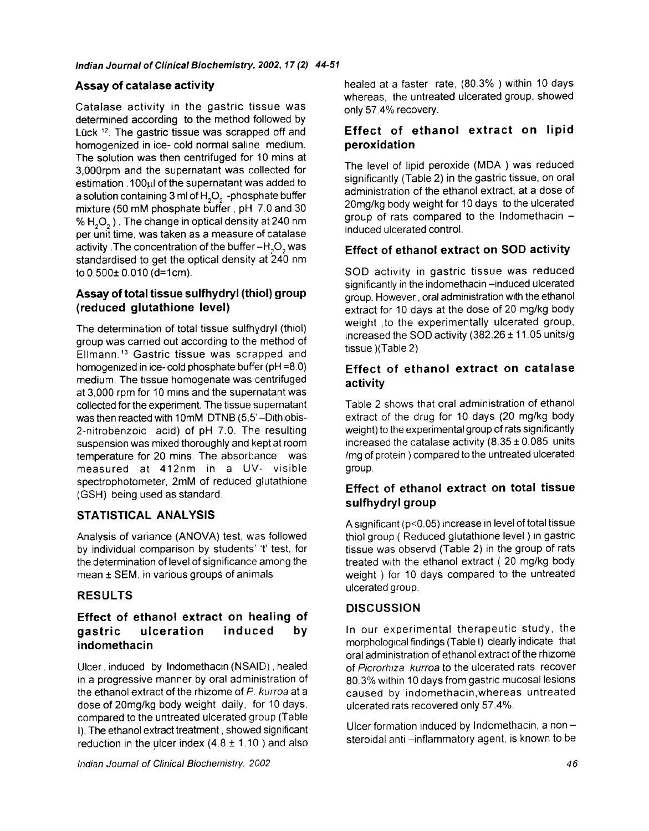## **Assay of catalase activity**

Catalase activity in the gastric tissue was determined according to the method followed by Lück <sup>12</sup>. The gastric tissue was scrapped off and homogenized in ice- cold normal saline medium. **The** solution was then centrifuged for 10 mins at 3,000rpm and the supernatant was collected for estimation. 100ul of the supernatant was added to a solution containing  $3$  ml of  $H_2O_2$  -phosphate buffer mixture (50 mM phosphate buffer, pH 7.0 and 30 % H<sub>2</sub>O<sub>2</sub>). The change in optical density at 240 nm per unit time, was taken as a measure of catalase activity . The concentration of the buffer -H<sub>3</sub>O<sub>2</sub> was standardised to get the optical density at 240 nm to  $0.500 \pm 0.010$  (d=1cm).

## **Assay of total tissue sulfhydryl (thiol) group (reduced glutathione level)**

The *determination* of total tissue sulfhydryl (thiol) group was carried out according to the method of EIImann. 13 Gastric tissue was scrapped and homogenized in ice-cold phosphate buffer (pH =8.0) medium. The tissue homogenate was centrifuged at 3,000 rpm for 10 mins and the supernatant was collected for the experiment. The tissue supernatant was then reacted with 10mM DTNB (5.5' -Dithiobis-2-nitrobenzoic acid) of pH 7.0. The resulting suspension was mixed thoroughly and kept at room temperature for 20 mins. The absorbance was measured at 412nm in a UV- visible spectrophotorneter, 2mM of reduced glutathione (GSH) being used as standard.

# STATISTICAL ANALYSIS

Analysis of variance (ANOVA) test, was followed by individual comparison by students' 't' test, for the determination of level of significance among the mean ± SEM. in various groups of animals

#### **RESULTS**

# **Effect of ethanol extract on healing of gastric ulceration induced by indornethacin**

Ulcer, induced by Indomethacin (NSAID), healed in a progressive manner by oral administration of the ethanol extract of the rhizome of *P. kurroa* at a dose of 20mg/kg body weight daily, for 10 days, compared to the untreated ulcerated group (Table I). The ethanol extract treatment, showed significant reduction in the ulcer index  $(4.8 \pm 1.10)$  and also healed at a faster rate, (80.3%) within 10 days whereas, the untreated ulcerated group, showed only 57.4% recovery.

# **Effect of ethanol extract on** lipid **peroxidation**

The level of lipid peroxide (MDA) was reduced significantly (Table 2) in the gastric tissue, on oral administration of the ethanol extract, at a dose of 20mg/kg body weight for 10 days to the ulcerated group of rats compared to the Indomethacin  $$ induced ulcerated control.

# **Effect of ethanol extract on SOD activity**

SOD activity in gastric tissue was reduced significantly in the indomethacin-induced ulcerated group. However, oral administration with the ethanol extract for 10 days at the dose of 20 mg/kg body weight ,to the experimentally ulcerated group, increased the SOD activity (382.26  $\pm$  11.05 units/g tissue )(Table 2)

## **Effect of ethanol extract on catalase activity**

Table 2 shows that oral administration of ethanol extract of the drug for 10 days (20 mg/kg body weight) to the experimental group of rats significantly increased the catalase activity  $(8.35 \pm 0.085)$  units /mg of protein ) compared to the untreated ulcerated group.

# **Effect of ethanol extract on total tissue sulfhydryl group**

A significant (p<0.05) increase in level of total tissue thiol group ( Reduced glutathione level ) in gastric tissue was observd (Table 2) in the group of rats treated with the ethanol extract ( 20 mg/kg body weight ) for 10 days compared to the untreated ulcerated group.

# **DISCUSSION**

In our experimental therapeutic study, the morphological findings (Table I) clearly indicate that oral administration of ethanol extract of the rhizome of *Picrorhiza kurroa* to the ulcerated rats recover 80.3% within 10 days from gastric mucosal lesions caused by indomethacin,whereas untreated ulcerated rats recovered only 57.4%.

Ulcer formation induced by Indomethacin, a non $$ steroidal anti-inflammatory agent, is known to be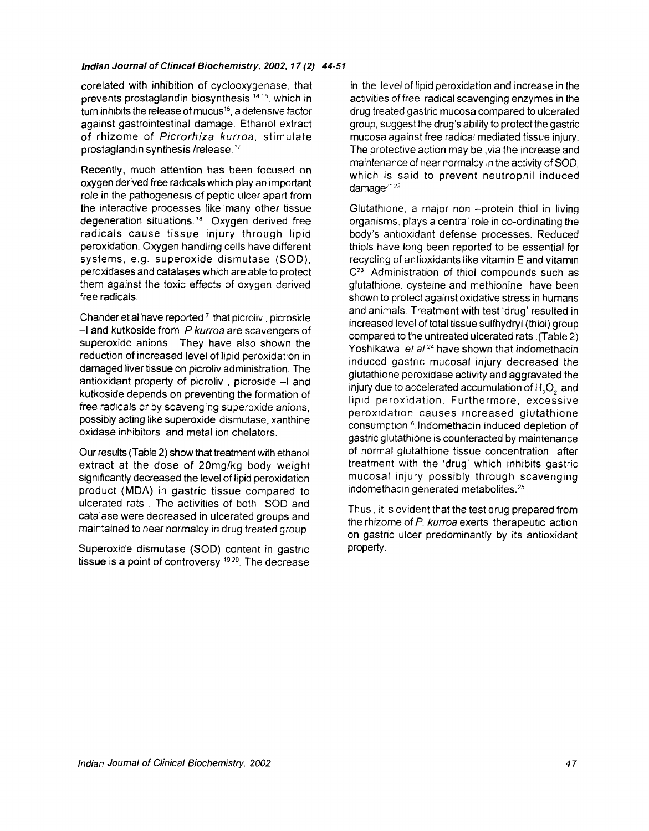#### *Indian Journal of Clinical Biochemistry, 2002, 17 (2) 44-51*

corelated with inhibition of cyclooxygenase, that prevents prostaglandin biosynthesis  $<sup>14,15</sup>$ , which in</sup> turn inhibits the release of mucus<sup>16</sup>, a defensive factor against gastrointestinal damage. Ethanol extract of rhizome of *Picrorhiza kurroa,* stimulate prostaglandin synthesis/release.'7

Recently, much attention has been focused on oxygen derived free radicals which play an important role in the pathogenesis of peptic ulcer apart from the interactive processes like many other tissue degeneration situations.<sup>18</sup> Oxygen derived free radicals cause tissue injury through lipid peroxidation. Oxygen handling cells have different systems, e.g. superoxide dismutase (SOD), peroxidases and catalases which are able to protect them against the toxic effects of oxygen derived free radicals.

Chander et al have reported  $7$  that picroliv, picroside -I and kutkoside from *P kurroa* are scavengers of superoxide anions. They have also shown the reduction of increased level of lipid peroxidation in damaged liver tissue on picroliv administration. The antioxidant property of picroliv, picroside -I and kutkoside depends on preventing the formation of free radicals or by scavenging superoxide anions, possibly acting like superoxide dismutase, xanthine oxidase inhibitors and metal ion chelators.

Our results (Table 2) show that treatment with ethanol extract at the dose of 20mg/kg body weight significantly decreased the level of lipid peroxidation product (MDA) in gastric tissue compared to ulcerated rats . The activities of both SOD and catalase were decreased in ulcerated groups and maintained to near normalcy in drug treated group.

Superoxide dismutase (SOD) content in gastric tissue is a point of controversy 19.20. The decrease

in the level of lipid peroxidation and increase in the activities of free radical scavenging enzymes in the drug treated gastric mucosa compared to ulcerated group, suggest the drug's ability to protect the gastric mucosa against free radical mediated tissue injury. The protective action may be ,via the increase and maintenance of near normalcy in the activity of SOD, which is said to prevent neutrophil induced  $d$ amage $^{2+22}$ 

Glutathione, a major non -protein thiol in living organisms, plays a central role in co-ordinating the body's antioxidant defense processes. Reduced thiols have long been reported to be essential for recycling of antioxidants like vitamin E and vitamin C<sup>23</sup>. Administration of thiol compounds such as glutathione, cysteine and methionine have been shown to protect against oxidative stress in humans and animals Treatment with test 'drug' resulted in increased level of total tissue sulfhydryl (thiol) group compared to the untreated ulcerated rats .(Table 2) Yoshikawa *et a124* have shown that indomethacin induced gastric mucosal injury decreased the glutathione peroxidase activity and aggravated the injury due to accelerated accumulation of H<sub>2</sub>O<sub>2</sub> and lipid peroxidation. Furthermore, excessive peroxidation causes increased glutathione consumption 6 Indomethacin induced depletion of gastric glutathione is counteracted by maintenance of normal glutathione tissue concentration after treatment with the 'drug' which inhibits gastric mucosal injury possibly through scavenging indomethacin generated metabolites.<sup>25</sup>

Thus, it is evident that the test drug prepared from the rhizome of P. kurroa exerts therapeutic action on gastric ulcer predominantly by its antioxidant property.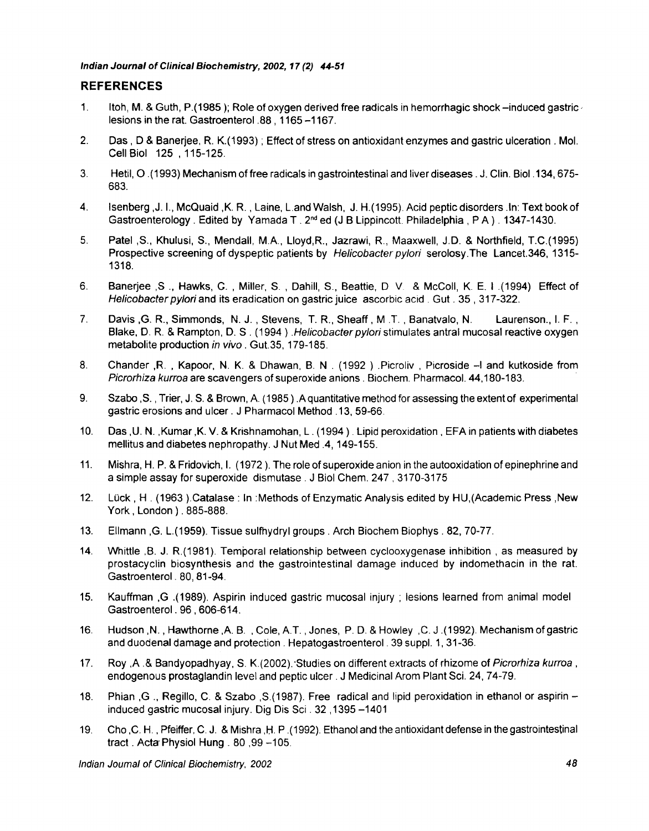*Indian Journal of Clinical Biochemistry, 2002, 17 (2) 44-51* 

#### **REFERENCES**

- **1.**  Itoh, M. & Guth, P.(1985 ); Role of oxygen derived free radicals in hemorrhagic shock-induced gastric. lesions in the rat. Gastroenterol .88, 1165-1167.
- 2. Das, D & Banerjee, R. K.(1993) ; Effect of stress on antioxidant enzymes and gastric ulceration. Mol. Cell Biol 125 , 115-125.
- 3. Hetil, O. (1993) Mechanism of free radicals in gastrointestinal and liver diseases. J. Clin. Biol. 134,675- 683.
- 4. Isenberg ,J. I., McQuaid ,K. R., Laine, L.and Walsh, J. H.(1995). Acid peptic disorders .In: Text book of Gastroenterology. Edited by Yamada T.  $2<sup>nd</sup>$  ed (J B Lippincott. Philadelphia, PA). 1347-1430.
- 5. Patel ,S., Khulusi, S., Mendall, M.A., Lloyd,R., Jazrawi, R., Maaxwell, J.D. & Northfield, T.C.(1995) Prospective screening of dyspeptic patients by *Helicobacter pylori* serolosy.The Lancet.346, 1315- 1318.
- 6. Banerjee ,S., Hawks, C., Miller, S., Dahill, S., Beattie, D V & McColl, K. E. I.(1994) Effect of *Helicobacter pylori* and its eradication on gastric juice ascorbic acid. Gut. 35, 317-322.
- 7. Davis ,G. R., Simmonds, N. J., Stevens, T. R., Sheaff, M .T., Banatvalo, N. Laurenson., I. F., Blake, D. R. & Rampton, D. S. (1994). Helicobacter pylori stimulates antral mucosal reactive oxygen metabolite production *in vivo.* Gut.35, 179-185.
- 8. Chander ,R. , Kapoor, N. K. & Dhawan, B. N . (1992) .Picroliv , Picroside -I and kutkoside from *Picrorhiza kurroa* are scavengers of superoxide anions. Biochem. Pharmacol. 44,180-183.
- 9. Szabo ,S., Trier, J. S. & Brown, A. (1985 ) .A quantitative method for assessing the extent of experimental gastric erosions and ulcer. J Pharmacol Method. 13, 59-66.
- 10. Das ,U. N. ,Kumar ,K. V. & Krishnamohan, L. (1994 ). Lipid peroxidation, EFA in patients with diabetes mellitus and diabetes nephropathy. J Nut Med .4,149-155.
- 11. Mishra, H. P. & Fridovich, I. (1972). The role of superoxide anion in the autooxidation of epinephrine and a simple assay for superoxide dismutase. J Biol Chem. 247, 3170-3175
- 12. Lück, H. (1963).Catalase : In: Methods of Enzymatic Analysis edited by HU, (Academic Press, New York, London ). 885-888.
- 13. EIImann ,G. L.(1959). Tissue sulfhydryl groups. Arch Biochem Biophys. 82, 70-77.
- 14. Whittle ,B. J. R.(1981). Temporal relationship between cyclooxygenase inhibition, as measured by prostacyclin biosynthesis and the gastrointestinal damage induced by indomethacin in the rat. Gastroenterol. 80, 81-94.
- 15. Kauffman ,G .(1989). Aspirin induced gastric mucosal injury ; lesions learned from animal model Gastroenterol. 96,606-614.
- 16. Hudson ,N., Hawthorne ,A. B. , Cole, A.T., Jones, P. D. & Howley ,C. J .(1992). Mechanism of gastric and duodenal damage and protection. Hepatogastroenterol. 39 suppl. 1, 31-36.
- 17. Roy ,A .& Bandyopadhyay, S. K.(2002).-Studies on different extracts of rhizome of *Picrorhiza kurroa,*  endogenous prostaglandin level and peptic ulcer. J Medicinal Arom Plant Sci. 24, 74-79.
- 18. Phian ,G., Regillo, C. & Szabo ,S.(1987). Free radical and lipid peroxidation in ethanol or aspirin induced gastric mucosal injury. Dig Dis Sci. 32,1395 -1401
- 19. Cho ,C. H., Pfeiffer, C. J. & Mishra ,H. P .(1992). Ethanol and the antioxidant defense in the gastrointestinal tract. Acta Physiol Hung. 80,99-105.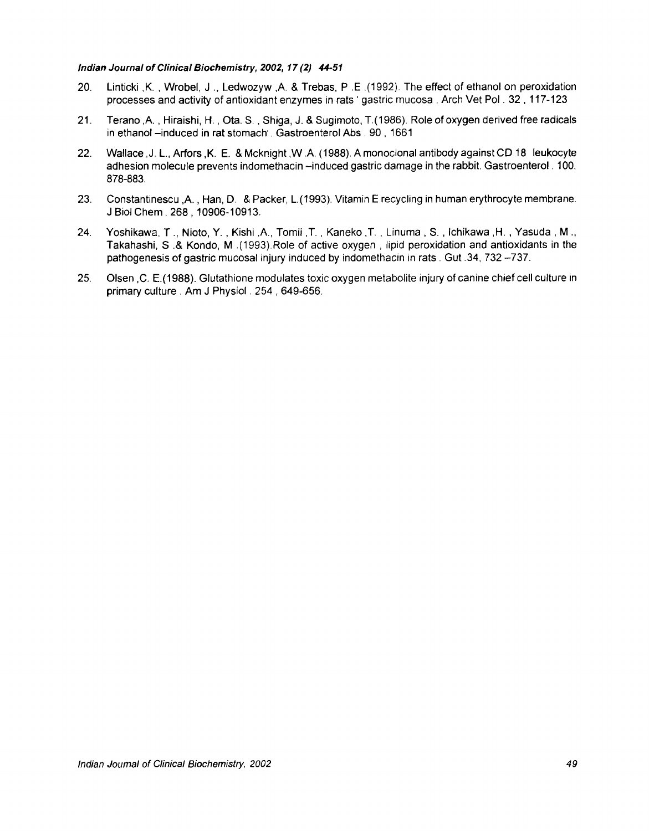#### *Indian Journal of Clinical Biochemistry, 2002, 17 (2) 44-51*

- 20. Linticki ,K., Wrobel, J., Ledwozyw ,A. & Trebas, P .E .(1992). The effect of ethanol on peroxidation processes and activity of antioxidant enzymes in rats ' gastric mucosa. Arch Vet Pol. 32,117-123
- 21. Terano ,A., Hiraishi, H., Ota. S., Shiga, J. & Sugimoto, T.(1986). Role of oxygen derived free radicals in ethanol -induced in rat stomach'. Gastroenterol Abs. 90, 1661
- 22. Wallace ,J. L., Arfors ,K. E. & Mcknight ,W .A. (1988). A monoclonal antibody against CD 18 leukocyte adhesion molecule prevents indomethacin -induced gastric damage in the rabbit. Gastroenterol. 100, 878-883.
- 23. Constantinescu ,A., Han, D. & Packer, L.(1993). Vitamin E recycling in human erythrocyte membrane. J Biol Chem. 268,10906-10913.
- 24. Yoshikawa, T., Nioto, Y., Kishi ,A., Tomii ,T., Kaneko ,T., Linuma, S., Ichikawa ,H., Yasuda, M., Takahashi, S .& Kondo, M .(1993).Role of active oxygen, lipid peroxidation and antioxidants in the pathogenesis of gastric mucosal injury induced by indomethacin in rats. Gut .34,732 -737.
- 25. Olsen ,C. E.(1988). Glutathione modulates toxic oxygen metabolite injury of canine chief cell culture in primary culture. Am J Physiol. 254, 649-656.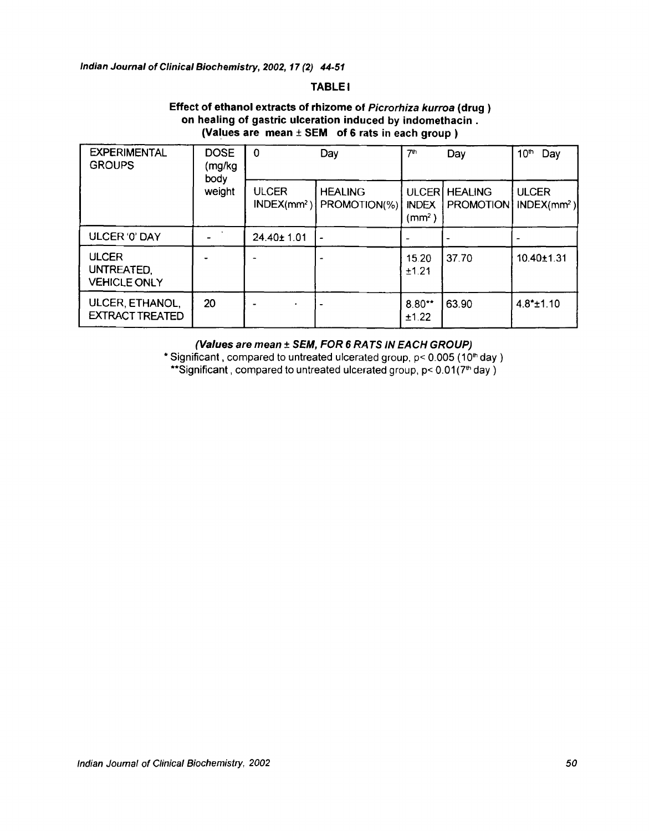#### **TABLE I**

## **Effect of ethanol extracts of rhizome of** *Picrorhiza kurroa* **(drug) on healing of gastric ulceration induced by indomethacin. (Values are mean + SEM of 6 rats in each group )**

| <b>EXPERIMENTAL</b><br><b>GROUPS</b>              | <b>DOSE</b><br>(mg/kg<br>body<br>weight | $\mathbf 0$<br>Day            |                                | 7 <sup>th</sup><br>Day                      |                                    | 10 <sup>th</sup><br>Day       |
|---------------------------------------------------|-----------------------------------------|-------------------------------|--------------------------------|---------------------------------------------|------------------------------------|-------------------------------|
|                                                   |                                         | <b>ULCER</b><br>$INDEX/mm2$ ) | <b>HEALING</b><br>PROMOTION(%) | ULCER<br><b>INDEX</b><br>(mm <sup>2</sup> ) | <b>HEALING</b><br><b>PROMOTION</b> | <b>ULCER</b><br>$INDEX(mm^2)$ |
| ULCER '0' DAY                                     |                                         | $24.40 \pm 1.01$              | $\overline{\phantom{0}}$       |                                             |                                    |                               |
| <b>ULCER</b><br>UNTREATED.<br><b>VEHICLE ONLY</b> |                                         |                               | ۰                              | 15.20<br>±1.21                              | 37.70                              | 10.40±1.31                    |
| ULCER, ETHANOL,<br><b>EXTRACT TREATED</b>         | 20                                      |                               |                                | $8.80**$<br>±1.22                           | 63.90                              | $4.8*$ ±1.10                  |

#### *(Values are mean + SEM, FOR 6 RATS IN EACH GROUP)*

\* Significant, compared to untreated ulcerated group,  $p < 0.005$  (10<sup>th</sup> day) \*\*Significant, compared to untreated ulcerated group,  $p < 0.01(7<sup>th</sup>$  day)